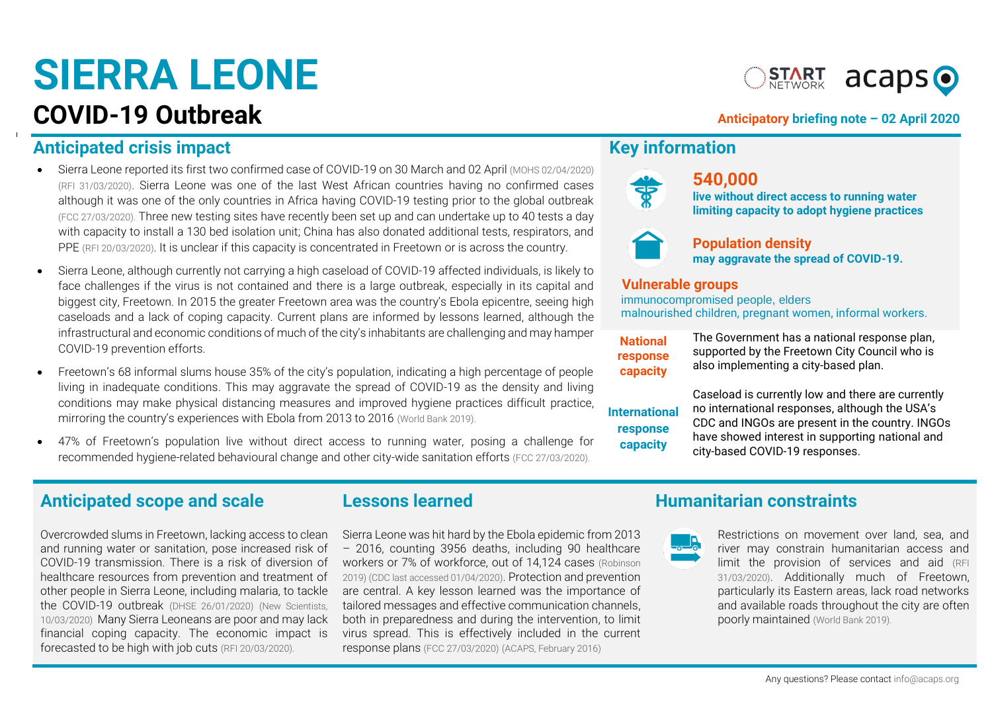# **SIERRA LEONE**

## **COVID-19 Outbreak COVID-19** Outbreak

**START acaps O** 

### **Anticipated crisis impact Anticipated Crisis impact Anticipated Crisis impact Anticipated Crisis impact Anticipated Anticipated Crisis impact Anticipated Anticipated Anticipated Anticipated Anticipated Anticipated Anticip**

- Sierra Leone reported its first two confirmed case of COVID-19 on 30 March and 02 April [\(MOHS 02/04/2020\)](https://mohs.gov.sl/covid-19/) [\(RFI 31/03/2020\)](http://www.rfi.fr/en/international/20200331-no-lockdown-yet-as-sierra-leone-records-first-case-of-covid-19). Sierra Leone was one of the last West African countries having no confirmed cases although it was one of the only countries in Africa having COVID-19 testing prior to the global outbreak [\(FCC 27/03/2020\).](https://fcc.gov.sl/wp-content/uploads/2020/03/FCC_COVID-19-Preparedness-and-Response-Plan-FINAL.pdf) Three new testing sites have recently been set up and can undertake up to 40 tests a day with capacity to install a 130 bed isolation unit; China has also donated additional tests, respirators, and PPE [\(RFI 20/03/2020\)](http://www.rfi.fr/en/international/20200320-sierra-leone-braces-as-coronavirus-spreads-through-west-africa-ebola-outbreak-covid-19-julius-maada-bio). It is unclear if this capacity is concentrated in Freetown or is across the country.
- Sierra Leone, although currently not carrying a high caseload of COVID-19 affected individuals, is likely to face challenges if the virus is not contained and there is a large outbreak, especially in its capital and biggest city, Freetown. In 2015 the greater Freetown area was the country's Ebola epicentre, seeing high caseloads and a lack of coping capacity. Current plans are informed by lessons learned, although the infrastructural and economic conditions of much of the city's inhabitants are challenging and may hamper COVID-19 prevention efforts.
- Freetown's 68 informal slums house 35% of the city's population, indicating a high percentage of people living in inadequate conditions. This may aggravate the spread of COVID-19 as the density and living conditions may make physical distancing measures and improved hygiene practices difficult practice, mirroring the country's experiences with Ebola from 2013 to 2016 [\(World Bank 2019\).](http://documents.worldbank.org/curated/en/994221549486063300/pdf/127039-REVISED-PUBLIC2-14-19-Freetown-Report-Final-web2.pdf)
- 47% of Freetown's population live without direct access to running water, posing a challenge for recommended hygiene-related behavioural change and other city-wide sanitation efforts [\(FCC 27/03/2020\).](https://fcc.gov.sl/wp-content/uploads/2020/03/FCC_COVID-19-Preparedness-and-Response-Plan-FINAL.pdf)



### **540,000**

**live without direct access to running water limiting capacity to adopt hygiene practices**



### **Population density**

**may aggravate the spread of COVID-19.**

### **Vulnerable groups**

immunocompromised people, elders malnourished children, pregnant women, informal workers.

**National response capacity**

The Government has a national response plan, supported by the Freetown City Council who is also implementing a city-based plan.

**International response capacity**

Caseload is currently low and there are currently no international responses, although the USA's CDC and INGOs are present in the country. INGOs have showed interest in supporting national and city-based COVID-19 responses.

### Anticipated scope and scale **Lessons learned Humanitarian constraints**

Overcrowded slums in Freetown, lacking access to clean and running water or sanitation, pose increased risk of COVID-19 transmission. There is a risk of diversion of healthcare resources from prevention and treatment of other people in Sierra Leone, including malaria, to tackle the COVID-19 outbreak [\(DHSE 26/01/2020\)](http://dhse.gov.sl/wp-content/uploads/2020/02/Surviellance_Weekly-Epidemiological-Report_Week_4_2020-1.pdf) (New [Scientists,](https://www.newscientist.com/article/2236760-we-dont-know-why-so-few-covid-19-cases-have-been-reported-in-africa/)  [10/03/2020\)](https://www.newscientist.com/article/2236760-we-dont-know-why-so-few-covid-19-cases-have-been-reported-in-africa/) Many Sierra Leoneans are poor and may lack financial coping capacity. The economic impact is forecasted to be high with job cuts [\(RFI 20/03/2020\).](http://www.rfi.fr/en/international/20200320-sierra-leone-braces-as-coronavirus-spreads-through-west-africa-ebola-outbreak-covid-19-julius-maada-bio)

Sierra Leone was hit hard by the Ebola epidemic from 2013 – 2016, counting 3956 deaths, including 90 healthcare workers or 7% of workforce, out of 14,124 cases [\(Robinson](https://www.ncbi.nlm.nih.gov/pmc/articles/PMC6676938/)  [2019\)](https://www.ncbi.nlm.nih.gov/pmc/articles/PMC6676938/) [\(CDC last accessed 01/04/2020\)](https://www.cdc.gov/vhf/ebola/history/2014-2016-outbreak/case-counts.html). Protection and prevention are central. A key lesson learned was the importance of tailored messages and effective communication channels, both in preparedness and during the intervention, to limit virus spread. This is effectively included in the current response plans [\(FCC 27/03/2020\)](https://fcc.gov.sl/wp-content/uploads/2020/03/FCC_COVID-19-Preparedness-and-Response-Plan-FINAL.pdf) [\(ACAPS, February 2016\)](https://www.acaps.org/special-report/beyond-public-health-emergency-potential-secondary-humanitarian-impacts-large-scale)



Restrictions on movement over land, sea, and river may constrain humanitarian access and limit the provision of services and aid [\(RFI](http://www.rfi.fr/en/international/20200331-no-lockdown-yet-as-sierra-leone-records-first-case-of-covid-19)  [31/03/2020\)](http://www.rfi.fr/en/international/20200331-no-lockdown-yet-as-sierra-leone-records-first-case-of-covid-19). Additionally much of Freetown, particularly its Eastern areas, lack road networks and available roads throughout the city are often poorly maintained [\(World Bank 2019\).](http://documents.worldbank.org/curated/en/994221549486063300/pdf/127039-REVISED-PUBLIC2-14-19-Freetown-Report-Final-web2.pdf)

Any questions? Please contac[t info@acaps.org](mailto:info@acaps.org)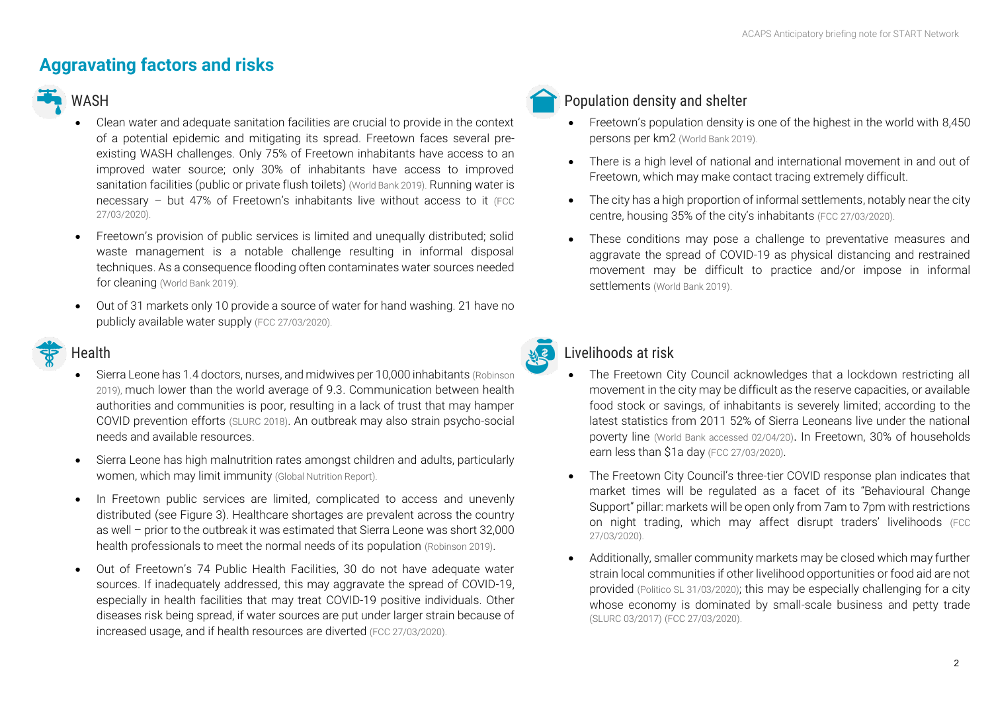### **Aggravating factors and risks**

### WASH

- Clean water and adequate sanitation facilities are crucial to provide in the context of a potential epidemic and mitigating its spread. Freetown faces several preexisting WASH challenges. Only 75% of Freetown inhabitants have access to an improved water source; only 30% of inhabitants have access to improved sanitation facilities (public or private flush toilets) [\(World Bank 2019\).](http://documents.worldbank.org/curated/en/994221549486063300/pdf/127039-REVISED-PUBLIC2-14-19-Freetown-Report-Final-web2.pdf) Running water is necessary – but 47% of Freetown's inhabitants live without access to it (FCC) [27/03/2020\).](https://fcc.gov.sl/wp-content/uploads/2020/03/FCC_COVID-19-Preparedness-and-Response-Plan-FINAL.pdf)
- Freetown's provision of public services is limited and unequally distributed; solid waste management is a notable challenge resulting in informal disposal techniques. As a consequence flooding often contaminates water sources needed for cleaning [\(World Bank 2019\).](http://documents.worldbank.org/curated/en/994221549486063300/pdf/127039-REVISED-PUBLIC2-14-19-Freetown-Report-Final-web2.pdf)
- Out of 31 markets only 10 provide a source of water for hand washing. 21 have no publicly available water supply [\(FCC 27/03/2020\).](https://fcc.gov.sl/wp-content/uploads/2020/03/FCC_COVID-19-Preparedness-and-Response-Plan-FINAL.pdf)

### Health

- Sierra Leone has 1.4 doctors, nurses, and midwives per 10,000 inhabitants [\(Robinson](https://www.ncbi.nlm.nih.gov/pmc/articles/PMC6676938/)  [2019\),](https://www.ncbi.nlm.nih.gov/pmc/articles/PMC6676938/) much lower than the world average of 9.3. Communication between health authorities and communities is poor, resulting in a lack of trust that may hamper COVID prevention efforts [\(SLURC 2018\)](https://www.slurc.org/uploads/1/0/9/7/109761391/slurc_policy_brief_no.3_fhs_web.pdf). An outbreak may also strain psycho-social needs and available resources.
- Sierra Leone has high malnutrition rates amongst children and adults, particularly women, which may limit immunity [\(Global Nutrition Report\)](https://globalnutritionreport.org/resources/nutrition-profiles/africa/western-africa/sierra-leone/).
- In Freetown public services are limited, complicated to access and unevenly distributed (see Figure 3). Healthcare shortages are prevalent across the country as well – prior to the outbreak it was estimated that Sierra Leone was short 32,000 health professionals to meet the normal needs of its population [\(Robinson 2019\)](https://www.ncbi.nlm.nih.gov/pmc/articles/PMC6676938/).
- Out of Freetown's 74 Public Health Facilities, 30 do not have adequate water sources. If inadequately addressed, this may aggravate the spread of COVID-19, especially in health facilities that may treat COVID-19 positive individuals. Other diseases risk being spread, if water sources are put under larger strain because of increased usage, and if health resources are diverted [\(FCC 27/03/2020\).](https://fcc.gov.sl/wp-content/uploads/2020/03/FCC_COVID-19-Preparedness-and-Response-Plan-FINAL.pdf)



### Population density and shelter

- Freetown's population density is one of the highest in the world with 8,450 persons per km2 [\(World Bank 2019\).](http://documents.worldbank.org/curated/en/994221549486063300/pdf/127039-REVISED-PUBLIC2-14-19-Freetown-Report-Final-web2.pdf)
- There is a high level of national and international movement in and out of Freetown, which may make contact tracing extremely difficult.
- The city has a high proportion of informal settlements, notably near the city centre, housing 35% of the city's inhabitants [\(FCC 27/03/2020\).](https://fcc.gov.sl/wp-content/uploads/2020/03/FCC_COVID-19-Preparedness-and-Response-Plan-FINAL.pdf)
- These conditions may pose a challenge to preventative measures and aggravate the spread of COVID-19 as physical distancing and restrained movement may be difficult to practice and/or impose in informal settlements [\(World Bank 2019\).](http://documents.worldbank.org/curated/en/994221549486063300/pdf/127039-REVISED-PUBLIC2-14-19-Freetown-Report-Final-web2.pdf)



### Livelihoods at risk

- The Freetown City Council acknowledges that a lockdown restricting all movement in the city may be difficult as the reserve capacities, or available food stock or savings, of inhabitants is severely limited; according to the latest statistics from 2011 52% of Sierra Leoneans live under the national poverty line [\(World Bank accessed 02/04/20\)](https://data.worldbank.org/country/sierra-leone). In Freetown, 30% of households earn less than \$1a day [\(FCC 27/03/2020\)](https://fcc.gov.sl/wp-content/uploads/2020/03/FCC_COVID-19-Preparedness-and-Response-Plan-FINAL.pdf).
- The Freetown City Council's three-tier COVID response plan indicates that market times will be regulated as a facet of its "Behavioural Change Support" pillar: markets will be open only from 7am to 7pm with restrictions on night trading, which may affect disrupt traders' livelihoods (FCC [27/03/2020\).](https://fcc.gov.sl/wp-content/uploads/2020/03/FCC_COVID-19-Preparedness-and-Response-Plan-FINAL.pdf)
- Additionally, smaller community markets may be closed which may further strain local communities if other livelihood opportunities or food aid are not provided [\(Politico SL 31/03/2020\)](https://www.politicosl.com/articles/traders-sierra-leone-capital-cry-over-council-restrictions); this may be especially challenging for a city whose economy is dominated by small-scale business and petty trade [\(SLURC 03/2017\)](https://www.slurc.org/uploads/1/0/9/7/109761391/slurc_policy_brief_1.pdf) [\(FCC 27/03/2020\).](https://fcc.gov.sl/wp-content/uploads/2020/03/FCC_COVID-19-Preparedness-and-Response-Plan-FINAL.pdf)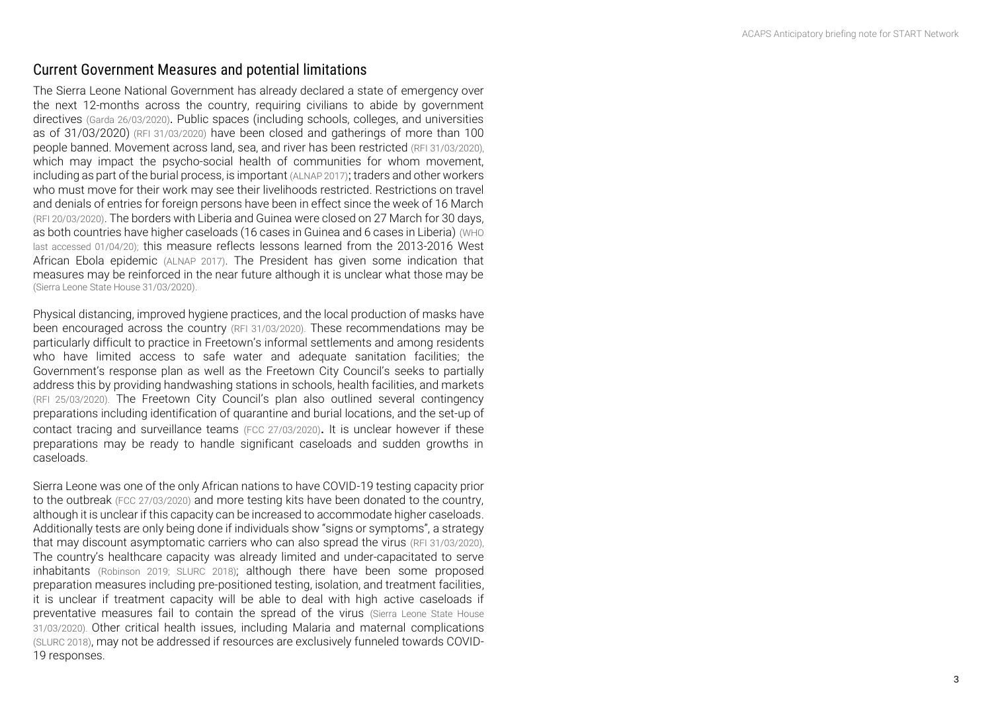### Current Government Measures and potential limitations

The Sierra Leone National Government has already declared a state of emergency over the next 12 -months across the country, requiring civilians to abide by government directives [\(Garda 26/03/2020\)](https://www.garda.com/crisis24/news-alerts/326706/sierra-leone-national-state-of-emergency-declared-march-25-update-3). Public spaces (including schools, colleges, and universities as of 31/03/2020) [\(RFI 31/03/2020\)](http://www.rfi.fr/en/international/20200331-no-lockdown-yet-as-sierra-leone-records-first-case-of-covid-19) have been closed and gatherings of more than 100 people banned. Movement across land, sea, and river ha s been restricted [\(RFI 31/03/2020\)](http://www.rfi.fr/en/international/20200331-no-lockdown-yet-as-sierra-leone-records-first-case-of-covid-19) , which may impact the psycho-social health of communities for whom movement, including as part of the burial process, is important [\(ALNAP 2017\)](https://reliefweb.int/sites/reliefweb.int/files/resources/alnap-urban-2017-ebola-population-movement.pdf) ; traders and other workers who must move for their work may see their livelihoods restricted. Restrictions on travel and denials of entries for foreign persons have been in effect since the week of 16 March [\(RFI 20/03/2020\)](http://www.rfi.fr/en/international/20200320-sierra-leone-braces-as-coronavirus-spreads-through-west-africa-ebola-outbreak-covid-19-julius-maada-bio). The borders with Liberia and Guinea were closed on 27 March for 30 days, as both countries have higher caseloads (16 cases in Guinea and 6 cases in Liberia ) [\(WHO](https://www.afro.who.int/health-topics/coronavirus-covid-19)  [last accessed 01/04/20\)](https://www.afro.who.int/health-topics/coronavirus-covid-19) ; this measure reflects lessons learned from the 2013 -2016 West African Ebola epidemi c [\(ALNAP 2017\)](https://reliefweb.int/sites/reliefweb.int/files/resources/alnap-urban-2017-ebola-population-movement.pdf). The President has given some indication that measures may be reinforced in the near future although it is unclear what those may be [\(Sierra Leone State House 31/03/2020\).](https://statehouse.gov.sl/wp-content/uploads/2020/03/Statement-by-His-Excellency-Dr-Julius-Maada-Bio-President-of-the-Republic-of-Sierra-Leone-at-the-Second-Press-Conference-on-COVID-19.-State-House-Freetown-31-March-2020.pdf)

Physical distancing, improved hygiene practices, and the local production of masks have been encouraged across the country [\(RFI 31/03/2020\).](http://www.rfi.fr/en/international/20200331-no-lockdown-yet-as-sierra-leone-records-first-case-of-covid-19) These recommendations may be particularly difficult to practice in Freetown's informal settlements and among residents who have limited access to safe water and adequate sanitation facilities; the Government's response plan as well as the Freetown City Council's seeks to partially address this by providing handwashing station s in schools, health facilities, and markets [\(RFI 25/03/2020\).](http://www.rfi.fr/en/africa/20200325-sierra-leone-announces-year-long-state-of-emergency-despite-no-confirmed-coronavirus) The Freetown City Council's plan also outlined several contingency preparations including identification of quarantine and burial locations, and the set-up of contact tracing and surveillance teams [\(FCC 27/03/2020\)](https://fcc.gov.sl/wp-content/uploads/2020/03/FCC_COVID-19-Preparedness-and-Response-Plan-FINAL.pdf). It is unclear however if these preparations may be ready to handle significant caseloads and sudden growths in caseloads.

Sierra Leone was one of the only African nations to have COVID -19 testing capacity prior to the outbreak [\(FCC 27/03/2020\)](https://fcc.gov.sl/wp-content/uploads/2020/03/FCC_COVID-19-Preparedness-and-Response-Plan-FINAL.pdf) and more testing kits have been donated to the country, although it is unclear if this capacity can be increased to accommodate higher caseloads. Additionally tests are only being done if individuals show "signs or symptoms", a strategy that may discount asymptomatic carriers who can also spread the virus [\(RFI 31/03/2020\)](http://www.rfi.fr/en/international/20200331-no-lockdown-yet-as-sierra-leone-records-first-case-of-covid-19). , The country's healthcare capacity was already limited and under -capacitated to serve inhabitants [\(Robinson 2019;](https://www.ncbi.nlm.nih.gov/pmc/articles/PMC6676938/) [SLURC 2018\)](https://www.slurc.org/uploads/1/0/9/7/109761391/slurc_policy_brief_no.3_fhs_web.pdf) ; although there have been some proposed preparation measure s including pre -positioned testing, isolation, and treatment facilities, it is unclear if treatment capacity will be able to deal with high active caseloads if preventative measures fail to contain the spread of the virus [\(Sierra Leone State House](https://statehouse.gov.sl/wp-content/uploads/2020/03/Statement-by-His-Excellency-Dr-Julius-Maada-Bio-President-of-the-Republic-of-Sierra-Leone-at-the-Second-Press-Conference-on-COVID-19.-State-House-Freetown-31-March-2020.pdf)  [31/03/2020\).](https://statehouse.gov.sl/wp-content/uploads/2020/03/Statement-by-His-Excellency-Dr-Julius-Maada-Bio-President-of-the-Republic-of-Sierra-Leone-at-the-Second-Press-Conference-on-COVID-19.-State-House-Freetown-31-March-2020.pdf)  Other critical health issues, including Malaria and maternal complications [\(SLURC 2018\)](https://www.slurc.org/uploads/1/0/9/7/109761391/slurc_policy_brief_no.3_fhs_web.pdf), may not be addressed if resources are exclusively funneled towards COVID - 19 responses.